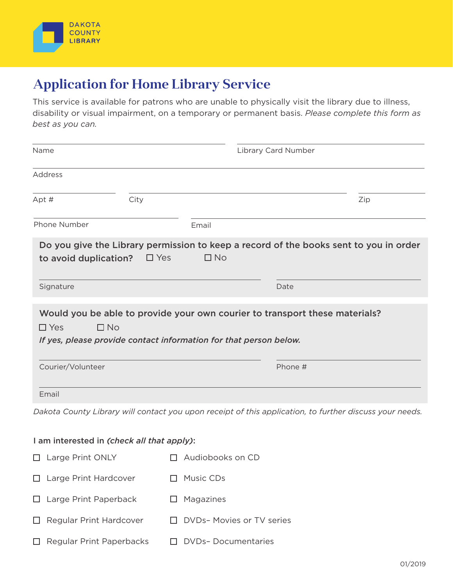

## **Application for Home Library Service**

This service is available for patrons who are unable to physically visit the library due to illness, disability or visual impairment, on a temporary or permanent basis. *Please complete this form as best as you can.*

| Name                                                                                                                                                                        |      |                         | Library Card Number |         |                                                                                                         |  |
|-----------------------------------------------------------------------------------------------------------------------------------------------------------------------------|------|-------------------------|---------------------|---------|---------------------------------------------------------------------------------------------------------|--|
| Address                                                                                                                                                                     |      |                         |                     |         |                                                                                                         |  |
| Apt #                                                                                                                                                                       | City |                         |                     |         | Zip                                                                                                     |  |
| Phone Number                                                                                                                                                                |      | Email                   |                     |         |                                                                                                         |  |
| to avoid duplication?                                                                                                                                                       |      | $\Box$ No<br>$\Box$ Yes |                     |         | Do you give the Library permission to keep a record of the books sent to you in order                   |  |
| Signature                                                                                                                                                                   |      |                         | Date                |         |                                                                                                         |  |
| Would you be able to provide your own courier to transport these materials?<br>$\Box$ No<br>$\Box$ Yes<br>If yes, please provide contact information for that person below. |      |                         |                     |         |                                                                                                         |  |
| Courier/Volunteer                                                                                                                                                           |      |                         |                     | Phone # |                                                                                                         |  |
| Email                                                                                                                                                                       |      |                         |                     |         |                                                                                                         |  |
|                                                                                                                                                                             |      |                         |                     |         | Dakota County Library will contact you upon receipt of this application, to further discuss your needs. |  |

## I am interested in *(check all that apply)*:

| $\Box$ Large Print ONLY         | $\Box$ Audiobooks on CD         |
|---------------------------------|---------------------------------|
| $\Box$ Large Print Hardcover    | $\Box$ Music CDs                |
| $\Box$ Large Print Paperback    | $\Box$ Magazines                |
| $\Box$ Regular Print Hardcover  | $\Box$ DVDs-Movies or TV series |
| $\Box$ Regular Print Paperbacks | $\Box$ DVDs-Documentaries       |